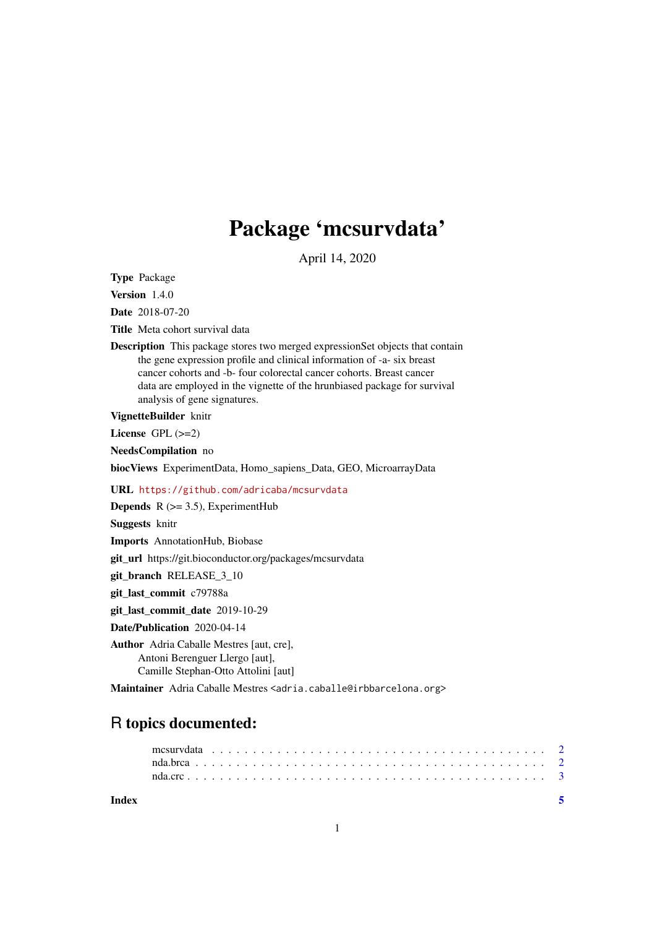# Package 'mcsurvdata'

April 14, 2020

Type Package

Version 1.4.0

Date 2018-07-20

Title Meta cohort survival data

Description This package stores two merged expressionSet objects that contain the gene expression profile and clinical information of -a- six breast cancer cohorts and -b- four colorectal cancer cohorts. Breast cancer data are employed in the vignette of the hrunbiased package for survival analysis of gene signatures.

VignetteBuilder knitr

License GPL (>=2)

NeedsCompilation no

biocViews ExperimentData, Homo\_sapiens\_Data, GEO, MicroarrayData

URL <https://github.com/adricaba/mcsurvdata>

**Depends** R  $(>= 3.5)$ , ExperimentHub

Suggests knitr

Imports AnnotationHub, Biobase

git\_url https://git.bioconductor.org/packages/mcsurvdata

git\_branch RELEASE\_3\_10

git\_last\_commit c79788a

git\_last\_commit\_date 2019-10-29

Date/Publication 2020-04-14

Author Adria Caballe Mestres [aut, cre], Antoni Berenguer Llergo [aut], Camille Stephan-Otto Attolini [aut]

Maintainer Adria Caballe Mestres <adria.caballe@irbbarcelona.org>

# R topics documented:

## **Index** [5](#page-4-0). The second state of the second state of the second state of the second state of the second state of the second state of the second state of the second state of the second state of the second state of the second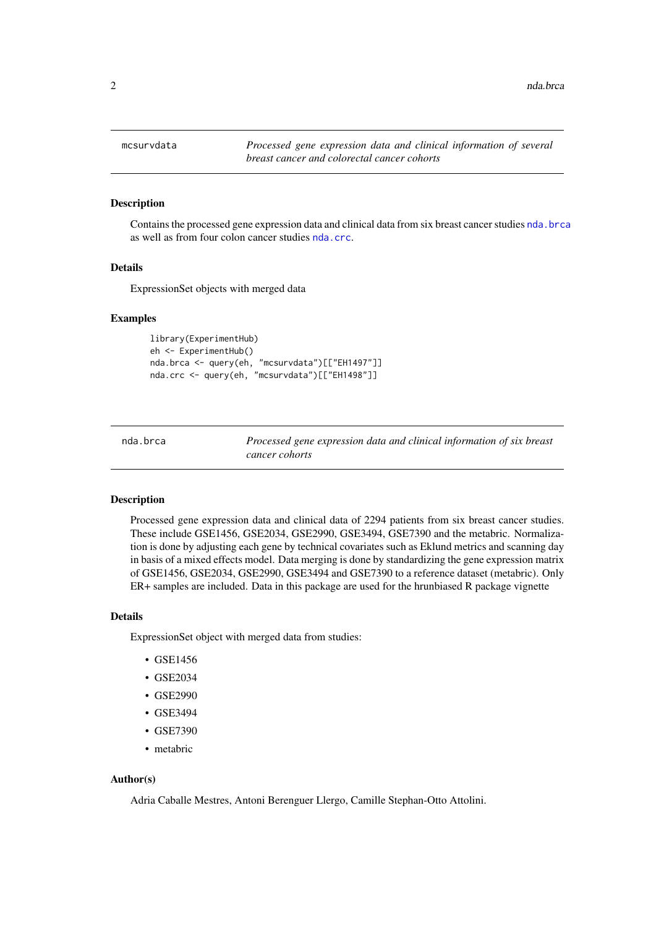<span id="page-1-0"></span>

#### Description

Contains the processed gene expression data and clinical data from six breast cancer studies [nda.brca](#page-1-1) as well as from four colon cancer studies [nda.crc](#page-2-1).

#### Details

ExpressionSet objects with merged data

#### Examples

```
library(ExperimentHub)
eh <- ExperimentHub()
nda.brca <- query(eh, "mcsurvdata")[["EH1497"]]
nda.crc <- query(eh, "mcsurvdata")[["EH1498"]]
```
<span id="page-1-1"></span>nda.brca *Processed gene expression data and clinical information of six breast cancer cohorts*

# Description

Processed gene expression data and clinical data of 2294 patients from six breast cancer studies. These include GSE1456, GSE2034, GSE2990, GSE3494, GSE7390 and the metabric. Normalization is done by adjusting each gene by technical covariates such as Eklund metrics and scanning day in basis of a mixed effects model. Data merging is done by standardizing the gene expression matrix of GSE1456, GSE2034, GSE2990, GSE3494 and GSE7390 to a reference dataset (metabric). Only ER+ samples are included. Data in this package are used for the hrunbiased R package vignette

# Details

ExpressionSet object with merged data from studies:

- GSE1456
- GSE2034
- GSE2990
- GSE3494
- GSE7390
- metabric

# Author(s)

Adria Caballe Mestres, Antoni Berenguer Llergo, Camille Stephan-Otto Attolini.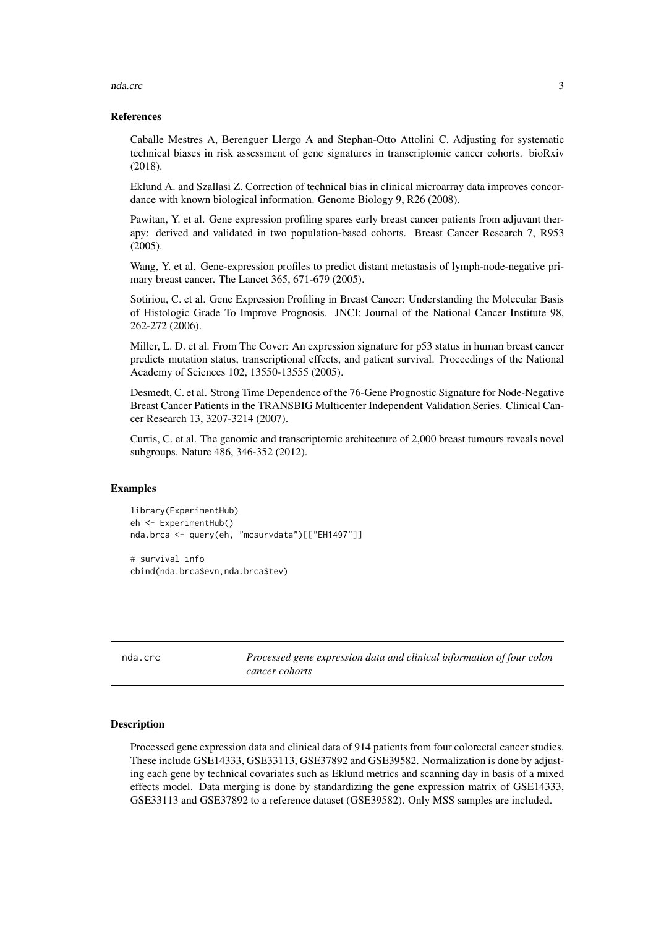#### <span id="page-2-0"></span>nda.crc 3

#### References

Caballe Mestres A, Berenguer Llergo A and Stephan-Otto Attolini C. Adjusting for systematic technical biases in risk assessment of gene signatures in transcriptomic cancer cohorts. bioRxiv (2018).

Eklund A. and Szallasi Z. Correction of technical bias in clinical microarray data improves concordance with known biological information. Genome Biology 9, R26 (2008).

Pawitan, Y. et al. Gene expression profiling spares early breast cancer patients from adjuvant therapy: derived and validated in two population-based cohorts. Breast Cancer Research 7, R953 (2005).

Wang, Y. et al. Gene-expression profiles to predict distant metastasis of lymph-node-negative primary breast cancer. The Lancet 365, 671-679 (2005).

Sotiriou, C. et al. Gene Expression Profiling in Breast Cancer: Understanding the Molecular Basis of Histologic Grade To Improve Prognosis. JNCI: Journal of the National Cancer Institute 98, 262-272 (2006).

Miller, L. D. et al. From The Cover: An expression signature for p53 status in human breast cancer predicts mutation status, transcriptional effects, and patient survival. Proceedings of the National Academy of Sciences 102, 13550-13555 (2005).

Desmedt, C. et al. Strong Time Dependence of the 76-Gene Prognostic Signature for Node-Negative Breast Cancer Patients in the TRANSBIG Multicenter Independent Validation Series. Clinical Cancer Research 13, 3207-3214 (2007).

Curtis, C. et al. The genomic and transcriptomic architecture of 2,000 breast tumours reveals novel subgroups. Nature 486, 346-352 (2012).

#### Examples

```
library(ExperimentHub)
eh <- ExperimentHub()
nda.brca <- query(eh, "mcsurvdata")[["EH1497"]]
```
# survival info cbind(nda.brca\$evn,nda.brca\$tev)

<span id="page-2-1"></span>nda.crc *Processed gene expression data and clinical information of four colon cancer cohorts*

#### **Description**

Processed gene expression data and clinical data of 914 patients from four colorectal cancer studies. These include GSE14333, GSE33113, GSE37892 and GSE39582. Normalization is done by adjusting each gene by technical covariates such as Eklund metrics and scanning day in basis of a mixed effects model. Data merging is done by standardizing the gene expression matrix of GSE14333, GSE33113 and GSE37892 to a reference dataset (GSE39582). Only MSS samples are included.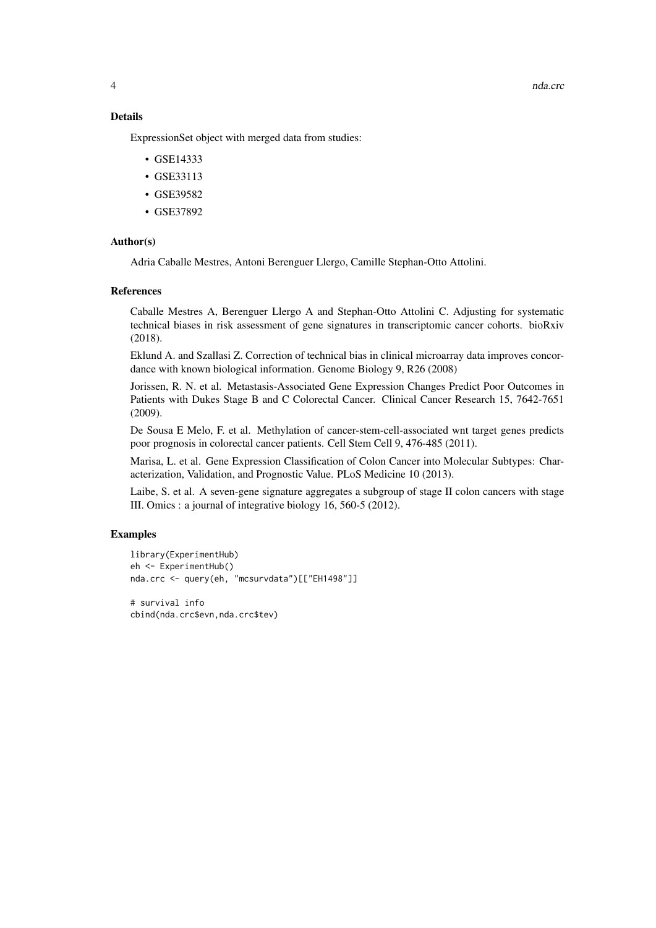and the contract of the contract of the contract of the contract of the contract of the contract of the contract of the contract of the contract of the contract of the contract of the contract of the contract of the contra

# Details

ExpressionSet object with merged data from studies:

- GSE14333
- GSE33113
- GSE39582
- GSE37892

#### Author(s)

Adria Caballe Mestres, Antoni Berenguer Llergo, Camille Stephan-Otto Attolini.

#### References

Caballe Mestres A, Berenguer Llergo A and Stephan-Otto Attolini C. Adjusting for systematic technical biases in risk assessment of gene signatures in transcriptomic cancer cohorts. bioRxiv (2018).

Eklund A. and Szallasi Z. Correction of technical bias in clinical microarray data improves concordance with known biological information. Genome Biology 9, R26 (2008)

Jorissen, R. N. et al. Metastasis-Associated Gene Expression Changes Predict Poor Outcomes in Patients with Dukes Stage B and C Colorectal Cancer. Clinical Cancer Research 15, 7642-7651 (2009).

De Sousa E Melo, F. et al. Methylation of cancer-stem-cell-associated wnt target genes predicts poor prognosis in colorectal cancer patients. Cell Stem Cell 9, 476-485 (2011).

Marisa, L. et al. Gene Expression Classification of Colon Cancer into Molecular Subtypes: Characterization, Validation, and Prognostic Value. PLoS Medicine 10 (2013).

Laibe, S. et al. A seven-gene signature aggregates a subgroup of stage II colon cancers with stage III. Omics : a journal of integrative biology 16, 560-5 (2012).

#### Examples

```
library(ExperimentHub)
eh <- ExperimentHub()
nda.crc <- query(eh, "mcsurvdata")[["EH1498"]]
```
# survival info cbind(nda.crc\$evn,nda.crc\$tev)